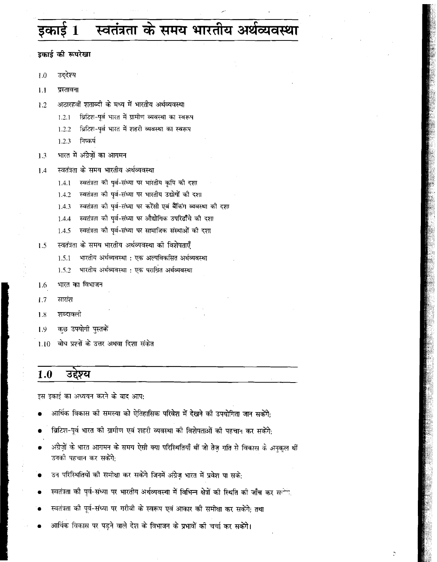# स्वतंत्रता के समय भारतीय अर्थव्यवस्था

डकार्ड की रूपरेखा

उद्देश्य  $1.0$ 

 $1.1$ प्रस्तावना

- अठारहवीं शताब्दी के मध्य में भारतीय अर्थव्यवस्था  $1.2$ 
	- ब्रिटिश-पर्व भारत में ग्रामीण व्यवस्था का स्वरूप  $1.2.1$
	- ब्रिटिश-पर्व भारत में शहरी व्यवस्था का स्वरूप  $1.2.2$
	- $1.2.3$ निष्कर्ष
- भारत में अंग्रेजों का आगमन  $1.3$
- स्वतंत्रता के समय भारतीय अर्थव्यवस्था  $1.4$ 
	- स्वतंत्रता की पूर्व-संध्या पर भारतीय कृषि की दशा  $1.4.1$
	- $1.4.2$ स्वतंत्रता की पूर्व-संध्या पर भारतीय उद्योगों की दशा
	- स्वतंत्रता की पूर्व-संध्या पर करेंसी एवं बैंकिंग व्यवस्था की दशा  $1.4.3$
	- स्वतंत्रता की पूर्व-संध्या पर औद्योगिक उपरिढाँचे की दशा 1.4.4
	- स्वतंत्रता की पूर्व-संध्या पर सामाजिक संस्थाओं की दशा 1.4.5
- $1.5$ स्वतंत्रता के समय भारतीय अर्थव्यवस्था की विशेषताएँ
	- भारतीय अर्थव्यवस्था : एक अल्पविकसित अर्थव्यवस्था  $1.5.1$
	- भारतीय अर्थव्यवस्था : एक पराश्रित अर्थव्यवस्था 1.5.2
- भारत का विभाजन 1.6
- सारांश  $1.7$
- शब्दावली  $1.8$
- कछ उपयोगी पुस्तकों 1.9
- $1.10$ बोध प्रश्नों के उत्तर अथवा दिशा संकेत

#### $1.0$ उद्देश्य

इस इकाई का अध्ययन करने के बाद आप:

- आर्थिक विकास को समस्या को ऐतिहासिक परिवेश में देखने को उपयोगिता जान सकेंगे:
- ब्रिटिश-पूर्व भारत की ग्रामीण एवं शहरी व्यवस्था की विशेषताओं की पहचान कर सकेंगे:
- अंग्रेज़ों के भारत आगमन के समय ऐसी क्या परिस्थितियाँ थीं जो तेज़ गति से विकास के अनुकूल थीं उनकी पहचान कर सकेंगे.
- उन परिस्थितियों की समीक्षा कर सकेंगे जिनमें अंग्रेज भारत में प्रवेश पा सके:
- स्वतंत्रता की पूर्व-संध्या पर भारतीय अर्थव्यवस्था में विभिन्न क्षेत्रों की स्थिति की जाँच कर सत्ति
- स्वतंत्रता की पूर्व-संध्या पर गरीबी के स्वरूप एवं आकार की समीक्षा कर सकेंगे; तथा
- आर्थिक विकास पर पड़ने वाले देश के विभाजन के प्रभावों की चर्चा कर सकेंगे।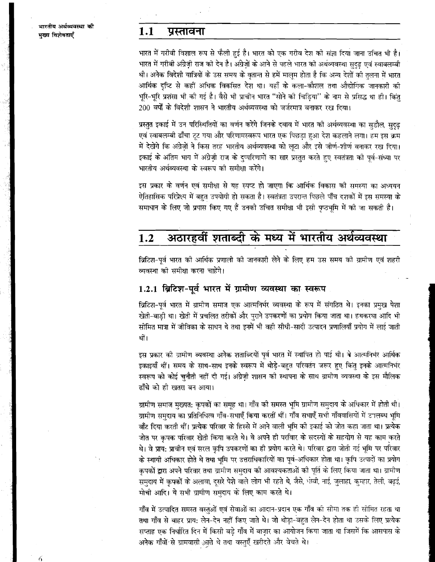6

#### $1.1$ प्रस्तावना

भारत में गरीबी विशाल रूप से फैली हुई है। भारत को एक गरीब देश को संज्ञा दिया जाना उचित भी है। भारत में गरीबी अंग्रेज़ी राज की देन है। अंग्रेजों के आने से पहले भारत की अर्थव्यवस्था सदढ एवं स्वाबलम्बी थी। अनेक विदेशी यात्रियों के उस समय के वृतान्त से हमें मालुम होता है कि अन्य देशों की तुलना में भारत आर्थिक दृष्टि से कहीं अधिक विकसित देश था। यहाँ के कला-कौशल तथा औद्योगिक जानकारी की भरि-भरि प्रशंसा भी की गई है। वैसे भी प्राचीन भारत ''सोने की चिडिया'' के नाम से प्रसिद्ध था ही। किंत 200 वर्षों के विदेशी शासन ने भारतीय अर्थव्यवस्था को जर्जरमात्र बनाकर रख दिया।

प्रस्तुत इकाई में उन परिस्थितियों का वर्णन करेंगे जिनके दबाव में भारत को अर्थव्यवस्था का सुडौल, सुदुढ़ एवं स्वाबलम्बी ढाँचा टूट गया और परिणामस्वरूप भारत एक पिछड़ा हुआ देश कहलाने लगा। हम इस क्रम में देखेंगे कि अंग्रेजों ने किस तरह भारतीय अर्थव्यवस्था को लटा और इसे जीर्ण-शीर्ण बनाकर रख दिया। इकाई के अंतिम भाग में अंग्रेज़ी राज के दुप्परिणामों का सार प्रस्तुत करते हुए स्वतंत्रता की पूर्व-संध्या पर भारतीय अर्थव्यवस्था के स्वरूप की समीक्षा करेंगे।

इस प्रकार के वर्णन एवं समीक्षा से यह स्पप्ट हो जाएगा कि आर्थिक विकास को समस्या का अध्ययन ऐतिहासिक परिप्रेक्ष्य में बहुत उपयोगी हो सकता है। स्वतंत्रता उपरान्त पिछले पाँच दशकों में इस समस्या के समाधान के लिए जो प्रयास किए गए हैं उनको उचित समीक्षा भी इसी पृष्ठभूमि में को जा सकती है।

### अठारहवीं शताब्दी के मध्य में भारतीय अर्थव्यवस्था  $1.2$

ब्रिटिश-पूर्व भारत को आर्थिक प्रणाली को जानकारी लेने के लिए हम उस समय को ग्रामीण एवं शहरी व्यवस्था को समीक्षा करना चाहेंगे।

## 1.2.1 ब्रिटिश-पूर्व भारत में ग्रामीण व्यवस्था का स्वरूप

ब्रिटिश-पूर्व भारत में ग्रामीण समाज एक आत्मनिर्भर व्यवस्था के रूप में संगठित थे। इनका प्रमुख पेशा खेती-बाडी था। खेती में प्रचलित तरीकों और पुराने उपकरणों का प्रयोग किया जाता था। हथकरघा आदि भी सीमित मात्रा में जीविका के साधन थे तथा इनमें भी वही सीधी-सादी उत्पादन प्रणालियाँ प्रयोग में लाई जाती थीं।

इस प्रकार की ग्रामीण व्यवस्था अनेक शताब्दियों पूर्व भारत में स्थापित हो पाई थी। वे आत्मनिर्भर आर्थिक इकाइयाँ थीं। समय के साथ-साथ इनके स्वरूप में थोड़े-बहुत परिवर्तन जरूर हुए किंतु इनके आत्मनिर्भर स्वरूप को कोई चुनौती नहीं दी गई। अंग्रेज़ी शासन की स्थापना के साथ ग्रामीण व्यवस्था के इस मौलिक ढाँचे को ही खतरा बन आया।

ग्रामीण समाज मुख्यत: कृपकों का समूह था। गाँव की समस्त भूमि ग्रामीण समुदाय के अधिकार में होती थी। ग्रामीण समुदाय का प्रतिनिधित्व गाँव-सभाएँ किया करतीं थीं। गाँव सभाएँ सभी गाँववासियों में टालब्ध भूमि बाँट दिया करती थीं। प्रत्येक परिवार के हिस्से में आने वाली भूमि की इकाई को जोत कहा जाता था। प्रत्येक जोत पर कपक परिवार खेती किया करते थे। वे अपने ही परविार के सदस्यों के सहयोग से यह काम करते थे। वे प्राय: प्राचीन एवं सरल कृपि उपकरणों का ही प्रयोग करते थे। परिवार द्वारा जोती गई भूमि पर परिवार के स्थायी अधिकार होते थे तथा भूमि पर उत्तराधिकारियों का पूर्व-अधिकार होता था। कृपि उत्पादों का प्रयोग कृषकों द्वारा अपने परिवार तथा ग्रामीण समुदाय की आवश्यकताओं की पूर्ति के लिए किया जाता था। ग्रामीण समदाय में कपकों के अलावा, दुसरे पेशे वाले लोग भी रहते थे, जैसे, घोवी, नाई, जुलाहा, कुम्हार, तेली, बढ़ई, मोची आदि। ये सभी ग्रामीण समुदाय के लिए काम करते थे।

गाँव में उत्पादित समस्त वस्तओं एवं सेवाओं का आदान-प्रदान एक गाँव की सीमा तक ही सीमित रहता था तथा गाँव से बाहर प्राय: लेन-देन नहीं किए जाते थे। जो थोड़ा-बहुत लेन-देन होता था उसके लिए प्रत्येक सप्ताह एक निर्धारित दिन में किसी बड़े गाँव में बाज़ार का आयोजन किया जाता था जिसमें कि आसपास के अनेक गाँवों से ग्रामवासी आते थे तथा वस्तुएँ खरीदते और वेचते थे।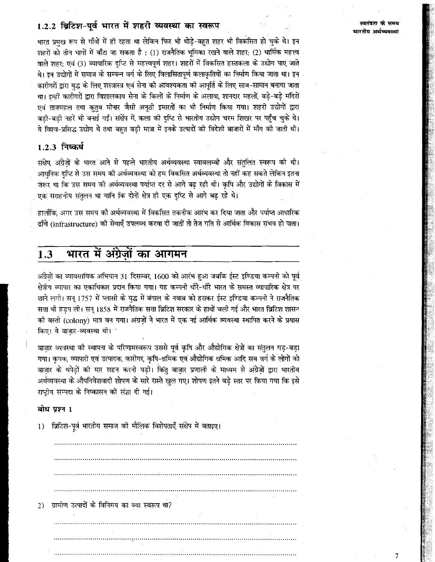## 1.2.2 ब्रिटिश-पूर्व भारत में शहरी व्यवस्था का स्वरूप

म्बतंत्रता के समय भारतीय अर्थव्यवस्था

7

भारत प्रमख रूप से गाँवों में ही रहता था लेकिन फिर भी थोड़े-वहत शहर भी विकसित हो चुके थे। इन शहरों को तीन भागों में बाँटा जा सकता है : (1) राजनैतिक भूमिका रखने वाले शहर; (2) धार्मिक महत्त्व वाले शहर; एवं (3) व्यापारिक दुप्टि से महत्त्वपूर्ण शहर। शहरों में विकसित हस्तकला के उद्योग पाए जाते थे। इन उद्योगों में समाज के सम्पन्न वर्ग के लिए विलासितापूर्ण कलाकृतियों का निर्माण किया जाता था। इन कारीगरों द्वारा युद्ध के लिए शस्त्रास्त्र एवं सेना की आवश्यकता की आपूर्ति के लिए साज-सामान बनाया जाता था। इन्हीं कारीगरों द्वारा विशालकाय सेना के किलों के निर्माण के अलावा, शानदार महलों, बड़े-बड़े मंदिरों एवं ताजमहल तथा कतब मीनार जैसी अनृठी इमारतों का भी निर्माण किया गया। शहरी उद्योगों द्वारा बड़ी-बड़ी नहरें भी बनाई गईं। संक्षेप में, कला की दुष्टि से भारतीय उद्योग चरम शिखर पर पहुँच चुके थे। ये विश्व-प्रसिद्ध उद्योग थे तथा बहुत बड़ी मात्रा में इनके उत्पादों की विदेशी बाजारों में माँग की जाती थी।

### 1.2.3 निष्कर्ष

संक्षेप, अंग्रेजों के भारत आने से पहले भारतीय अर्थव्यवस्था स्वाबलम्बी और संतुलित स्वरूप की थी। आधनिक दप्टि से उस समय की अर्थव्यवस्था को हम विकसित अर्थव्यवस्था तो नहीं कह सकते लेकिन इतना जरूर था कि उस समय की अर्थव्यवस्था पर्याप्त दर से आगे बढ रही थी। कपि और उद्योगों के विकास में एक सराहनीय संतुलन था यानि कि दोनों क्षेत्र ही एक दृष्टि से आगे बढ़ रहे थे।

हालाँकि, अगर उस समय की अर्थव्यवस्था में विकसित तकनीक आरंभ कर दिया जाता और पर्याप्त आधारिक हाँचे (infrastructure) की सेवाएँ उपलब्ध करवा दी जातीं तो तेज गति से आर्थिक विकास संभव हो पाता।

### भारत में अंग्रेज़ों का आगमन  $1.3$

अंग्रेजों का व्यावसायिक अभियान 31 दिसम्बर, 1600 को आरंभ हुआ जबकि ईस्ट इण्डिया कम्पनी को पूर्व क्षेत्रीय व्यापार का एकाधिकार प्रदान किया गया। यह कम्पनी धीरे-धीरे भारत के समस्त व्यापारिक क्षेत्र पर छाने लगी। सन् 1757 में प्लासी के यद्ध में बंगाल के नवाब को हराकर ईस्ट इण्डिया कम्पनी ने राजनैतिक सत्ता भी हडप ली। सन् 1858 में राजनैतिक सत्ता ब्रिटिश सरकार के हाथों चली गई और भारत ब्रिटिश शासन की बस्ती (colony) मात्र बन गया। अंग्रजों ने भारत में एक नई आर्थिक व्यवस्था स्थापित करने के प्रयास किए। ये वाज़ार-व्यवस्था थी। त

बाज़ार व्यवस्था को स्थापना के परिणामस्वरूप उससे पूर्व कृषि और औद्योगिक क्षेत्रों का संतुलन गड़-बड़ा गया। कृपक, व्यापारी एवं उत्पादक, कारीगर, कृषि-श्रमिक एवं औद्योगिक श्रमिक आदि सब वर्ग के लोगों को बाज़ार के थपेड़ों की मार सहन करनी पड़ी। किंतु बाज़ार प्रणाली के माध्यम से अंग्रेज़ों द्वारा भारतीय अर्थव्यवस्था के औपनिवेशवादी शोषण के सारे रास्ते खुल गए। शोषण इतने बड़े स्तर पर किया गया कि इसे राष्ट्रीय सम्पदा के निष्कासन की संज्ञा दी गई।

### बोध प्रश्न 1

| 1)            | ब्रिटिश-पूर्व भारतीय समाज की मौलिक विशेपताएँ संक्षेप में बताइए। |
|---------------|-----------------------------------------------------------------|
|               |                                                                 |
|               |                                                                 |
|               |                                                                 |
|               |                                                                 |
| $\mathcal{D}$ | ग्रामीण उत्पादों के विनिमय का क्या स्वरूप था?                   |
|               |                                                                 |
|               |                                                                 |
|               |                                                                 |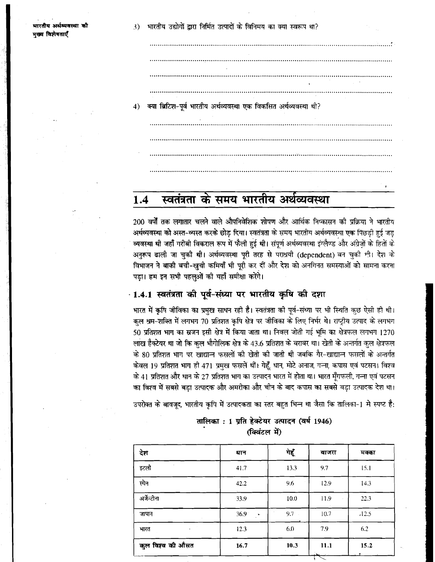.<br>रिय अर्थव्यवस्था की मख्य विशेषताएँ

क्या ब्रिटिश-पूर्व भारतीय अर्थव्यवस्था एक विकसित अर्थव्यवस्था थी?  $4)$ 

### स्वतंत्रता के समय भारतीय अर्थव्यवस्था  $1.4$

200 वर्षों तक लगातार चलने वाले औपनिवेशिक शोषण और आर्थिक निष्कासन की प्रक्रिया ने भारतीय अर्थव्यवस्था को अस्त-व्यस्त करके छोड दिया। स्वतंत्रता के समय भारतीय अर्थव्यवस्था एक पिछडी हई जड व्यवस्था थी जहाँ गरीबी विकराल रूप में फैली हुई थी। संपूर्ण अर्थव्यवस्था इंग्लैण्ड और अंग्रेजों के हितों के अनुरूप ढाली जा चुकी थी। अर्थव्यवस्था पूरी तरह से पराश्रयी (dependent) बन चुकी थी। देश के विभाजन ने बाकी बची-खुची कमियाँ भी पूरी कर दीं और देश को अनगिनत समस्याओं को सामना करना पड़ा। हम इन सभी पहलुओं की यहाँ समीक्षा करेंगे।

## · 1.4.1 स्वतंत्रता की पूर्व-संध्या पर भारतीय कृषि की दशा

भारत में कृषि जीविका का प्रमुख साधन रही है। स्वतंत्रता की पूर्व-संध्या पर भी स्थिति कुछ ऐसी ही थी। कल श्रम-शक्ति में लगभग 70 प्रतिशत कृषि क्षेत्र पर जीविका के लिए निर्भर थे। राष्ट्रीय उत्पाद के लगभग 50 प्रतिशत भाग का स्रजन इसी क्षेत्र में किया जाता था। निवल जोती गई भूमि का क्षेत्रफल लगभग 1270 लाख हैक्टेयर था जो कि कुल भौगोलिक क्षेत्र के 43.6 प्रतिशत के बराबर था। खेती के अन्तर्गत कुल क्षेत्रफल के 80 प्रतिशत भाग पर खाद्यान्न फसलों की खेती की जाती थी जबकि गैर-खाद्यान्न फसलों के अन्तर्गत केवल 19 प्रतिशत भाग ही 471 प्रमुख फसलें थीं। गेहूँ, धान, मोटे अनाज, गन्ना, कपास एवं पटसन। विश्व के 41 प्रतिशत और धान के 27 प्रतिशत भाग का उत्पादन भारत में होता था। भारत मूँगफली, गन्ना एवं पटसन का विश्व में सबसे बड़ा उत्पादक और अमरीका और चीन के बाद कपास का सबसे बड़ा उत्पादक देश था।

उपरोक्त के बावजद, भारतीय कृपि में उत्पादकता का स्तर बहुत भिन्न था जैसा कि तालिका-1 मे स्पष्ट है:

| देश                          | यान               | गेहूँ | बाजरा | मक्का |
|------------------------------|-------------------|-------|-------|-------|
| इटली                         | 41.7              | 13.3  | 9.7   | 15.1  |
| स्पेन                        | 42.2              | 9.6   | 12.9  | 14.3  |
| अर्जेन्टीना                  | 33.9              | 10.0  | 11.9  | 22.3  |
| जापान                        | 36.9<br>$\bullet$ | 9.7   | 10.7  | .12.5 |
| भारत<br>$\ddot{\phantom{0}}$ | 12.3              | 6.0   | 7.9   | 6.2   |
| कुल विश्व की औसत             | 16.7              | 10.3  | 11.1  | 15.2  |

### तालिका: 1 प्रति हेक्टेयर उत्पादन (वर्ष 1946) (क्विंटल में)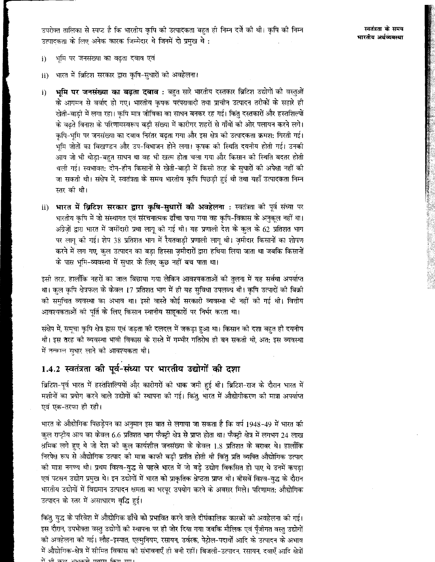उपरोक्त तालिका से स्पप्ट है कि भारतीय कृषि की उत्पादकता बहुत ही निम्न दर्जे की थी। कृषि की निम्न उत्पादकता के लिए अनेक कारक जिम्मेदार थे जिनमें दो प्रमुख थे:

- भमि पर जनसंख्या का बढता दबाव एवं  $\mathbf{i}$
- भारत में ब्रिटिश सरकार द्वारा कृषि-सुधारों की अवहेलना।  $\mathbf{ii}$
- भूमि पर जनसंख्या का बढ़ता दबाव : बहुत सारे भारतीय दस्तकार ब्रिटिश उद्योगों की वस्तुओं  $\mathbf{i}$ के आगमन से बर्बाद हो गए। भारतीय कृषक परंपरावादी तथा प्राचीन उत्पादन तरीकों के सहारे ही खेती-बाडी में लगा रहा। कृषि मात्र जीविका का साधन बनकर रह गई। किंतु दस्तकारों और हस्तशिल्पों के बढते विनाश के परिणामस्वरूप बड़ी संख्या में कारीगर शहरों से गाँवों की ओर पलायन करने लगे। कृषि-भूमि पर जनसंख्या का दबाव निरंतर बढ़ता गया और इस क्षेत्र की उत्पादकता क्रमश: गिरती गई। भूमि जोतों का विखण्डन और उप-विभाजन होने लगा। कृपक की स्थिति दयनीय होती गई। उनकी आय जो भी थोडा-बहुत साधन था वह भी खत्म होता चला गया और किसान की स्थिति बदतर होती चली गई। स्वभावत: दीन-हीन किसानों से खेती-बाडी में किसी तरह के सधारों की अपेक्षा नहीं की जा सकती थी। संक्षेप में, स्वतंत्रता के समय भारतीय कृषि पिछड़ी हुई थी तथा यहाँ उत्पादकता निम्न स्तर की थी।
- भारत में ब्रिटिश सरकार द्वारा कृषि-सुधारों की अवहेलना : स्वतंत्रता की पूर्व संध्या पर  $ii)$ भारतीय कृषि में जो संस्थागत एवं संरचनात्मक ढाँचा पाया गया वह कृषि-विकास के अनुकूल नहीं था। अंग्रेजों द्वारा भारत में जमींदारी प्रथा लागू की गई थी। यह प्रणाली देश के कुल के 62 प्रतिशत भाग पर लागू की गई। शेष 38 प्रतिशत भाग में रैयतवाड़ी प्रणाली लागू थी। ज़मीदार किसानों का शोषण करने में लग गए, कुल उत्पादन का बड़ा हिस्सा ज़मीदारों द्वारा हथिया लिया जाता था जबकि किसानों के पास भूमि-व्यवस्था में सुधार के लिए कुछ नहीं बच पाता था।

इसी तरह, हालाँकि नहरों का जाल बिछाया गया लेकिन आवश्यकताओं की तुलना में यह सर्वथा अपर्याप्त था। कल कृषि क्षेत्रफल के केवल 17 प्रतिशत भाग में ही यह सृविधा उपलब्ध थी। कृषि उत्पादों को बिक्री की समचित व्यवस्था का अभाव था। इसी वास्ते कोई सरकारी व्यवस्था भी नहीं की गई थी। वित्तीय आवश्यकताओं की पति के लिए किसान स्थानीय साहकारों पर निर्भर करता था।

संक्षेप में, समूचा कृपि क्षेत्र ह्रास एवं जड़ता की दलदल में जकड़ा हुआ था। किसान की दशा बहुत ही दयनीय थी। इस तरह को व्यवस्था भावी विकास के रास्ते में गम्भीर गतिरोध ही बन सकती थी, अत: इस व्यवस्था में तत्काल सधार लाने की आवश्यकता थी।

## 1.4.2 स्वतंत्रता की पूर्व-संध्या पर भारतीय उद्योगों की दशा

ब्रिटिश-पूर्व भारत में हस्तशिल्पियों और कारीगरों की धाक जमी हुई थी। ब्रिटिश-राज के दौरान भारत में मशीनों का प्रयोग करने वाले उद्योगों की स्थापना की गई। किंतु, भारत में औद्योगीकरण की मात्रा अपर्याप्त एवं एक-तरफा ही रही।

भारत के औद्योगिक पिछड़ेपन का अनुमान इस बात से लगाया जा सकता है कि वर्ष 1948-49 में भारत की कुल राष्ट्रीय आय का केवल 6.6 प्रतिशत भाग फैक्ट्री क्षेत्र से प्राप्त होता था। फैक्ट्री क्षेत्र में लगभग 24 लाख श्रमिक लगे हुए थे जो देश को कुल कार्यशील जनसंख्या के केवल 1.8 प्रतिशत के बराबर थे। हालाँकि निरपेक्ष रूप से औद्योगिक उत्पाद को मात्रा काफो बड़ी प्रतीत होती थी किंतु प्रति व्यक्ति औद्योगिक उत्पाद की मात्रा नगण्य थी। प्रथम विश्व-युद्ध से पहले भारत में जो बड़े उद्योग विकसित हो पाए थे उनमें कपड़ा एवं पटसन उद्योग प्रमुख थे। इन उद्योगों में भारत को प्राकृतिक श्रेष्ठता प्राप्त थी। बीसवें विश्व-युद्ध के दौरान भारतीय उद्योगों में विद्यमान उत्पादन क्षमता का भरपूर उपयोग करने के अवसर मिले। परिणामत: औद्योगिक उत्पादन के स्तर में असाधारण वृद्धि हुई।

किंतु, युद्ध के परिवेश में औद्योगिक ढाँचे को प्रभावित करने वाले दीर्घकालिक कारकों को अवहेलना को गई। इस दौरान, उपभोक्ता वस्तु उद्योगों की स्थापना पर ही जोर दिया गया जबकि मौलिक एवं पूँजीगत वस्तु उद्योगों को अवहेलना को गई। लौह-इस्पात, एल्मुनियम, रसायन, उर्वरक, पेट्रोल-पदार्थों आदि के उत्पादन के अभाव में औद्योगिक-क्षेत्र में सीमित विकास की संभावनाएँ ही बनी रहीं। बिजली-उत्पादन, रसायन, दवाएँ आदि क्षेत्रों ਦੇ भी ਨਾਲ ਪੁੱਖਰਾਂ ਦੇ ਧਰਾੜ ਰਿਹਾ ਸਾ।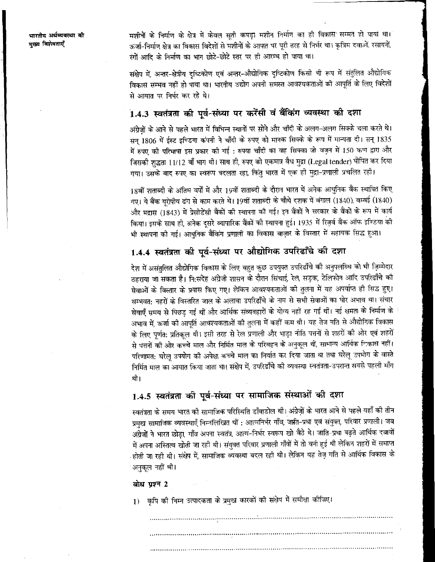मशीनों के निर्माण के क्षेत्र में केवल सुती कपड़ा मशीन निर्माण का ही विकास सम्मत हो पाया था। ऊर्जा-निर्माण क्षेत्र का विकास विदेशों से मंशीनों के आपात पर पूरी तरह से निर्भर था। कृत्रिम दवाओं, रसायनों, रंगों आदि के निर्माण का भाग छोटे-छोटे स्तर पर ही आरम्भ हो पाया था।

संक्षेप में, अन्तर-क्षेत्रीय दृष्टिकोण एवं अन्तर-औद्योगिक दृष्टिकोण किसी भी रूप में संतुलित औद्योगिक विकास सम्भव नहीं हो पाया था। भारतीय उद्योग अपनी समस्त आवश्यकताओं की आपति के लिए विदेशों .<br>से आयात पर निर्भर कर रहे थे।

## 1.4.3 स्वतंत्रता की पूर्व-संध्या पर करेंसी वं बैंकिंग व्यवस्था की दशा

अंग्रेज़ों के आने से पहले भारत में विभिन्न स्थानों पर सोने और चाँदी के अलग-अलग सिक्के चला करते थे। सन् 1806 में ईस्ट इण्डिया कंपनी ने चाँदी के रुपए को मानक सिक्के के रूप में मान्यता दी। सन् 1835 में रुपए की परिभाषा इस प्रकार की गई : रुपया चाँदी का वह सिक्का जो वज़न में 150 कण द्वारा और जिसकी शुद्धता 11/12 वाँ भाग थी। साथ ही, रुपए को एकमात्र वैध मुद्रा (Legal tender) घोपित कर दिया गया। उसके बाद रुपए का स्वरूप बदलता रहा, किंतु भारत में एक ही मुद्रा-प्रणाली प्रचलित रही।

18वीं शताब्दी के अंतिम वर्षों में और 19वीं शताब्दी के दौरान भारत में अनेक आधुनिक बैंक स्थापित किए गए। ये बैंक यूरोपीय ढंग से काम करते थे। 19वीं शताब्दी के चौथे दशक में बंगाल (1840) बम्बई (1840) और मद्रास (1843) में प्रेसीडेंसी बैंकों की स्थापना की गई। इन बैंकों ने सरकार के बैंकों के रूप में कार्य किया। इसके साथ ही, अनेक दूसरे व्यापारिक बैंकों की स्थापना हुई। 1935 में रिज़र्व बैंक ऑफ इण्डिया की भी स्थापना की गई। आधुनिक बैंकिंग प्रणाली का विकास बाजार के विस्तार में सहायक सिद्ध हुआ।

## 1.4.4 स्वतंत्रता की पूर्व-संध्या पर औद्योगिक उपरिढाँचे की दशा

देश में असंतुलित औद्योगिक विकास के लिए बहुत कुछ उपयुक्त उपरिढाँचे की अनुपलब्धि को भी ज़िम्मेदार ठहराया जा सकता है। नि:संदेह अंग्रेजी शासन के दौरान सिंचाई, रेल, सड़क, टेलिफोन आदि उपरिढाँचे की सेवाओं के विस्तार के प्रयास किए गए। लेकिन आवश्यकताओं की तुलना में यह अपर्याप्त ही सिद्ध हुए। सम्भवत: नहरों के विस्तरित जाल के अलावा उपरिढाँचे के नाम से सभी सेवाओं का घोर अभाव था। संचार सेवाएँ समय से पिछड़ गईं थीं और आर्थिक संव्यवहारों के योग्य नहीं रह गईं थीं। नई क्षमता के निर्माण के अभाव में. ऊर्जा की आपर्ति आवश्यकताओं की तलना में कहीं कम थी। यह तेज गति से औद्योगिक विकास के लिए पूर्णत: प्रतिकूल थी। इसी तरह से रेल प्रणाली और भाड़ा नीति पत्तनों से शहरों की ओर एवं शहरों से पत्तनों की ओर कच्चे माल और निर्मित माल के परिवहन के अनुकूल थीं, सामान्य आर्थिक निकास नहीं। परिणामत: घरेलु उपयोग की अपेक्षा कच्चे माल का निर्यात कर दिया जाता था तथा घरेलू उपभोग के वास्ते निर्मित माल का आयात किया जाता था। संक्षेप में. उपरिढाँचे की व्यवस्था स्वतंत्रता-उपरान्त सबसे पहली माँग थी।

## 1.4.5 स्वतंत्रता की पूर्व-संध्या पर सामाजिक संस्थाओं की दशा

स्वतंत्रता के समय भारत की सामाजिक परिस्थिति डाँवाडोल थी। अंग्रेजों के भारत आने से पहले यहाँ की तीन प्रमुख सामाजिक व्यवस्थाएँ निम्नलिखित थीं : आत्मनिर्भर गाँव, जाति-प्रथा एवं संयुक्त, परिवार प्रणाली। जब अंग्रेजों ने भारत छोड़ा, गाँव अपना स्वतंत्र, आत्म-निर्भर स्वरूप खो बैठे थे। जाति-प्रथा बढ़ते आर्थिक दबावों में अपना अस्तित्व खोती जा रही थी। संयुक्त परिवार प्रणाली गाँवों में तो बनी हुई थी लेकिन शहरों में समाप्त होती जा रही थी। संक्षेप में, सामाजिक व्यवस्था बदल रही थी। लेकिन यह तेज़ गति से आर्थिक विकास के अनुकूल नहीं थी।

### बोध प्रश्न 2

1) कपि की निम्न उत्पादकता के प्रमुख कारकों की संक्षेप में समीक्षा कीजिए।

| $\ddot{\phantom{1}}$ |  |
|----------------------|--|
|                      |  |
|                      |  |
|                      |  |
|                      |  |
|                      |  |
|                      |  |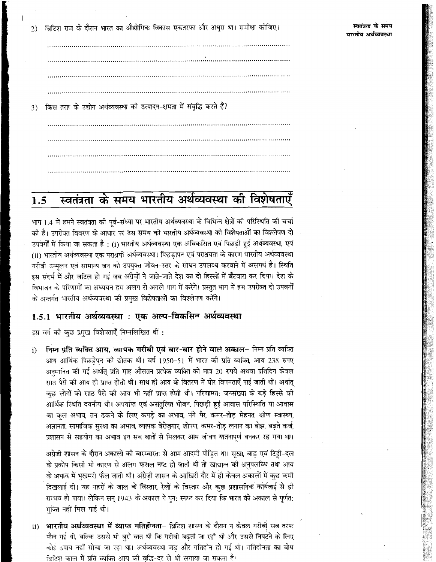ब्रिटिश राज के दौरान भारत का औद्योगिक विकास एकतरफा और अधूरा था। समीक्षा कोजिए।  $2)$ 

किस तरह के उद्योग अर्थव्यवस्था को उत्पादन-क्षमता में संवृद्धि करते हैं?  $3)$ 

### स्वतंत्रता के समय भारतीय अर्थव्यवस्था की विशेषताएँ 1.5

भाग 1.4 में हमने स्वतंत्रता की पूर्व-संध्या पर भारतीय अर्थव्यवस्था के विभिन्न क्षेत्रों की परिस्थिति की चर्चा की है। उपरोक्त विवरण के आधार पर उस समय की भारतीय अर्थव्यवस्था को विशेषताओं का विश्लेषण दो उपवर्गों में किया जा सकता है : (i) भारतीय अर्थव्यवस्था एक अविकसित एवं पिछड़ी हुई अर्थव्यवस्था, एवं (ii) भारतीय अर्थव्यवस्था एक पराश्रयी अर्थव्यवस्था। पिछडापन एवं पराश्रयता के कारण भारतीय अर्थव्यवस्था गरीवी उन्मूलन एवं सामान्य जन को उपयुक्त जीवन-स्तर के साधन उपलब्ध करवाने में असमर्थ है। स्थिति इस संदर्भ में और जटिल हो गई जब अंग्रेजों ने जाते-जाते देश का दो हिस्सों में बँटवारा कर दिया। देश के विभाजन के परिणामों का अध्ययन हम अलग से अगले भाग में करेंगे। प्रस्तुत भाग में हम उपरोक्त दो उपवर्गों के अन्तर्गत भारतीय अर्थव्यवस्था की प्रमुख विशेषताओं का विश्लेपण करेंगे।

## 1.5.1 भारतीय अर्थव्यवस्था : एक अल्प-विकसिन अर्थव्यवस्था

इस वर्ग की कुछ प्रमुख विशेषताएँ निम्नलिखित थीं:

निम्न प्रति व्यक्ति आय. व्यापक गरीबी एवं बार-बार होने वाले अकाल- निम्न प्रति व्यक्ति  $\bf i)$ आय आर्थिक पिछड़ेपन की द्योतक थी। वर्ष 1950-51 में भारत की प्रति व्यक्ति, आय 238 रुपए अनमानित को गई अर्थात् प्रति माह औसतन प्रत्येक व्यक्ति को मात्र 20 रुपये अथवा प्रतिदिन केवल साठ पैसे की आय ही प्राप्त होती थी। साथ ही आय के वितरण में घोर विषमताएँ पाई जाती थीं। अर्थात् कछ लोगों को साठ पैसे की आय भी नहीं प्राप्त होती थी। परिणामत: जनसंख्या के बड़े हिस्से की आर्थिक स्थिति दयनीय थी। अपर्याप्त एवं असंतुलित भोजन, पिछड़ी हुई आवास परिस्थिति या आवास का कल अभाव, तन ढकने के लिए कपड़े का अभाव, नंगे पैर, कमर-तोड़ मेहनत, क्षीण स्वास्थ्य, अज्ञानता, सामाजिक सुरक्षा का अभाव, व्यापक बेरोजगार, शोपण, कमर-तोड़ लगान का बोझ, बढ़ते कर्ज, प्रशासन से सहयोग का अभाव इन सब बातों से मिलकर आम जीवन यातनापूर्ण बनकर रह गया था।

अंग्रेजी शासन के दौरान अकालों की बारम्बारता से आम आदमी पीड़ित था। सुखा, बाड़ एवं टिड्डी-दल के प्रकोप किसी भी कारण से अलग फसल नष्ट हो जाती थी तो खाद्यान्न को अनपलब्धि तथा आय के अभाव में भुखमरी फैल जाती थी। अंग्रेज़ी शासन के आखिरी दौर में ही केवल अकालों में कुछ कमी दिखलाई दी। यह नहरों के जाल के विस्तार, रेलों के विस्तार और कुछ प्रशासनिक कार्यवाई से ही सम्भव हो पाया। लेकिन सन् 1943 के अकाल ने पुन: स्पष्ट कर दिया कि भारत को अकाल से पूर्णत: मुक्ति नहीं मिल पाई थी।

भारतीय अर्थव्यवस्था में व्याप्त गतिहीनता– ब्रिटिश शासन के दौरान न केवल गरीबी सब तरफ  $\mathbf{ii}$ फैल गई थी, बल्कि उससे भी बूरी बात थी कि गरीबी बढ़ती जा रही थी और उससे निपटने के लिए कोई उपाय नहीं सोचा जा रहा था। अर्थव्यवस्था जड़ और गतिहीन हो गई थी। गतिहीनता का बोध ब्रिटिश काल में प्रति व्यक्ति आय को वृद्धि-दर से भी लगाया जा सकता है।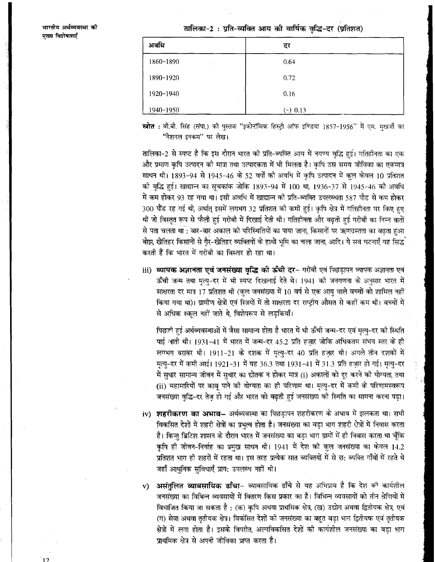तालिका-2: प्रति-व्यक्ति आय की वार्षिक वृद्धि-दर (प्रतिशत)

| अवधि           | दर         |
|----------------|------------|
| 1860-1890<br>٠ | 0.64       |
| 1890-1920      | 0.72       |
| 1920-1940      | 0.16       |
| 1940-1950      | $(-) 0.13$ |

स्त्रोत : वी.बी. सिंह (संपा.) को पुस्तक "इकोनॉमिक हिस्ट्री ऑफ इण्डिया 1857-1956" में एम. मखर्जी का "नेशनल इनकम" पर लेख।

तालिका-2 से स्पष्ट है कि इस दौरान भारत की प्रति-व्यक्ति आय में नगण्य वृद्धि हुई। गतिहीनता का एक .<br>और प्रमाण कृषि उत्पादन को मात्रा तथा उत्पादकता में भी मिलता है। कृषि उस समय जीविका का एकमात्र साधन थी। 1893-94 से 1945-46 के 52 वर्षों की अवधि में कृषि उत्पादन में कुल केवल 10 प्रतिशत को वृद्धि हुई। खाद्यान्न का सूचकांक जोकि 1893-94 में 100 था, 1936-37 से 1945-46 को अवधि में कम होकर 93 रह गया था। इसी अवधि में खाद्यान्न की प्रति-व्यक्ति उपलब्धता 587 पौंड से कम होकर 300 पौंड रह गई थी, अर्थात् इसमें लगभग 32 प्रतिशत को कमी हुई। कृषि क्षेत्र में गतिहीनता घर किए हुए थी जो विस्तृत रूप से फैली हुई गरीबी में दिखाई देती थी। गतिहीनता और बढ़ती हुई गरीबी का निम्न बातों .<br>से पता चलता था : बार-बार अकाल को परिस्थितियों का पाया जाना, किसानों पर ऋणग्रस्तता का बढता हुआ .<br>बोझ, खेतिहर किसानों से गैर-खेतिहर व्यक्तियों के हाथों भृमि का चला जाना, आदि। ये सब घटनाएँ यह सिद्ध करती हैं कि भारत में गरीबी का विस्तार हो रहा था।

iii) व्यापक अज्ञानता एवं जनसंख्या वृद्धि की ऊँची दर- गरीबी एवं पिछड़ापन व्यापक अज्ञानता एवं ऊँची जन्म तथा मृत्यु-दर में भी स्पष्ट दिखलाई देते थे। 1941 की जनगणना के अनुसार भारत में साक्षरता दर मात्र 17 प्रतिशत थी (कल जनसंख्या में 10 वर्ष से एक आयु वाले वच्चों को शामिल नहीं किया गया था)। ग्रामीण क्षेत्रों एवं स्त्रियों में तो साक्षरता दर राष्ट्रीय औसत से कहीं कम थी। बच्चों में से अधिक स्कूल नहीं जाते थे, विशेषरूप से लड़कियाँ।

पिछली हुई अर्थव्यवस्थाओं में जैसा सामान्य होता है भारत में भी ऊँची जन्म-दर एवं मृत्यु-दर की स्थिति पाई आती थी। 1931-41 में भारत में जन्म-दर 45.2 प्रति हजार जोकि अधिकतम संभव स्तर के ही लगभग बराबर थी। 1911-21 के दशक में मृत्यु-दर 40 प्रति हज़ार थी। अगले तीन दशकों में मृत्यु-दर में कमी आई। 1921-31 में यह 36.3 तथा 1931-41 में 31.3 प्रति हज़ार हो गई। मृत्यु-दर में सुधार सामान्य जीवन में सुधार का द्योतक न होकर मात्र (i) अकालों को दूर करने की योग्यता, तथा (ii) महामारियों पर काब पाने की योग्यता का ही परिणाम था। मृत्यु-दर में कमी के परिणामस्वरूप जनसंख्या वृद्धि-दर तेज़ हो गई और भारत को बढ़ती हुई जनसंख्या की स्थिति का सामना करना पड़ा।

- iv) शहरीकरण का अभाव– अर्थव्यवस्था का पिछड़ापन शहरीकरण के अभाव में झलकता था। सभी विकसित देशों में शहरी क्षेत्रों का प्रभुत्व होता है। जनसंख्या का वड़ा भाग शहरी क्षेत्रों में निवास करता है। किन्तु ब्रिटिश शासन के दौरान भारत में जनसंख्या का बड़ा भाग ग्रामों में ही निवास करता था चूँकि कृषि ही जीवन-निर्वाह का प्रमुख साधन थी। 1941 में देश की कुल जनसंख्या का केवल 14.2 प्रतिशत भाग ही शहरों में रहता था। इस तरह प्रत्येक सात व्यक्तियों में से छ: व्यक्ति गाँवों में रहते थे जहाँ आधुनिक सुविधाएँ प्राय: उपलब्ध नहीं थी।
- असंतुलित व्यावसायिक ढाँचा- व्यावसायिक ढाँचे से यह अभिप्राय है कि देश को कार्यशील  $V)$ जनसंख्या का विभिन्न व्यवसायों में वितरण किस प्रकार का है। विभिन्न व्यवसायों को तीन श्रेणियों में विभाजित किया जा सकता है : (क) कृषि अथवा प्राथमिक क्षेत्र, (ख) उद्योग अथवा द्वितीयक क्षेत्र, एवं (ग) सेवा अथवा तृतीयक क्षेत्र। विर्कासत देशों की जनसंख्या का बहुत बड़ा भाग द्वितीयक एवं तृतीयक क्षेत्रों में लगा होता है। इसके विपरीत, अल्पविकसित देशों की कार्यशील जनसंख्या का बडा भाग प्राथमिक क्षेत्र से अपनी जीविका प्राप्त करता है।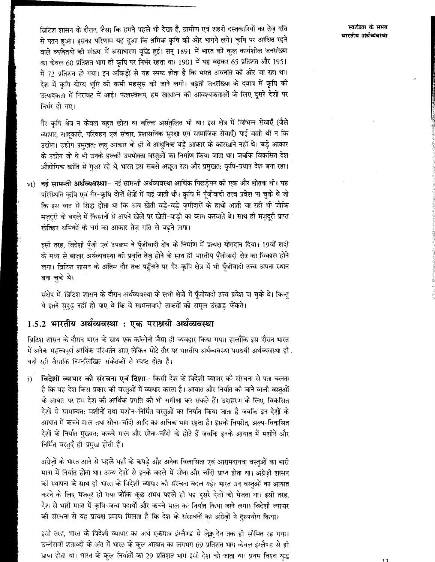विटिश शासन के दौरान, जैसा कि हमने पहले भी देखा है, ग्रामीण एवं शहरी दस्तकारियों का तेज़ गति से पतन हुआ। इसका परिणाम यह हुआ कि श्रमिक कृषि की ओर भागने लगे। कृषि पर आश्रित रहने वाले व्यक्तियों की संख्या में असाधारण वृद्धि हुई। सन् 1891 में भारत की कुल कार्यशील जनसंख्या का केवल 60 प्रतिशत भाग ही कृषि पर निर्भर रहता था। 1901 में यह बढ़कर 65 प्रतिशत और 1951 में 72 प्रतिशत हो गया। इन आँकड़ों से यह स्पष्ट होता है कि भारत अवनति की ओर जा रहा था। देश में कपि-योग्य भमि की कमी महसुस की जाने लगी। बढ़ती जनसंख्या के दबाव में कृषि की उत्पादकता में गिरावट में आई। फलस्वरूप, हम खाद्यान्न की आवश्यकताओं के लिए दूसरे देशों पर निर्भर हो गए।

गैर-कपि क्षेत्र न केवल बहुत छोटा था बल्कि असंतुलित भी था। इस क्षेत्र में विभिन्न सेवाएँ (जैसे व्यापार, साहूकारी, परिवहन एवं संचार, प्रशासनिक सुरक्षा एवं सामाजिक सेवाएँ) पाई जाती थीं न कि उद्योग। उद्योग प्रमखत: लघु आकार के ही थे आधुनिक बड़े आकार के कारखाने नहीं थे। बड़े आकार के उद्योग जो थे भी उनके हल्की उपभोक्ता वस्तुओं का निर्माण किया जाता था। जबकि विकसित देश औद्योगिक क्रांति से गुजर रहे थे, भारत इस सबसे अछूता रहा और प्रमुखत: कृषि-प्रधान देश बना रहा।

vi) नई सामन्ती अर्थव्यवस्था– नई सामन्ती अर्थव्यवस्था आर्थिक पिछड़ेपन की एक और द्योतक थी। यह परिस्थिति कृषि एवं गैर-कृषि दोनों क्षेत्रों में पाई जाती थी। कृषि में पूँजीवादी तत्त्व प्रवेश पा चुके थे जो कि इस बात से सिद्ध होता था कि अब खेती बड़े-बड़े ज़मीदारों के हाथों आती जा रही थी जोकि मजदरी के वदले में किसानों से अपने खेतों पर खेती-बाड़ी का काम करवाते थे। साथ ही मज़दूरी प्राप्त खेतिहर श्रमिकों के वर्ग का आकार तेज़ गति से बढ़ने लगा।

इसी तरह, विदेशी पूँजी एवं उपक्रम ने पूँजीवादी क्षेत्र के निर्माण में प्रत्यक्ष योगदान दिया। 19वीं सदी के मध्य से बाजार अर्थव्यवस्था की प्रवृत्ति तेज होने के साथ ही भारतीय पूँजीवादी क्षेत्र का विकास होने लगा। ब्रिटिश शासन के अंतिम दौर तक पहुँचने पर गैर-कृषि क्षेत्र में भी पूँजीवादी तत्त्व अपना स्थान जना चुके थे।

संक्षेप में, ब्रिटिश शासन के दौरान अर्थव्यवस्था के सभी क्षेत्रों में पूँजीवादी तत्त्व प्रवेश पा चुके थे। किन्त ये इतने सुदुढ़ नहीं हो पाए थे कि वे सामन्तवादी ताकतों को समूल उखाड़ फेंकते।

## 1.5.2 भारतीय अर्थव्यवस्था : एक पराश्रयी अर्थव्यवस्था

ब्रिटिश शासन के दौरान भारत के साथ एक कॉलोनी जैसा ही व्यवहार किया गया। हालाँकि इस दौरान भारत में अनेक महत्त्वपूर्ण आर्थिक परिवर्तन आए लेकिन मोटे तौर पर भारतीय अर्थव्यवस्था पराश्रयी अर्थव्यवस्था ही . बनी रही जैसाकि निम्नलिखित संकेतकों से स्पष्ट होता है।

विदेशी व्यापार की संरचना एवं दिशा- किसी देश के विदेशी व्यापार की संरचना से पता चलता  $i)$ है कि वह देश किस प्रकार की वस्तुओं में व्यापार करता है। आयात और निर्यात की जाने वाली वस्तुओं के आधार पर हम देश की आर्थिक प्रगति की भी समीक्षा कर सकते हैं। उदाहरण के लिए, विकसित देशों से सामान्यत: मशीनों तथा मशीन-निर्मित वस्तुओं का निर्यात किया जाता है जबकि इन देशों के आयात में कच्चे माल तथा सोना-चाँदी आदि का अधिक भाग रहता है। इसके विपरीत, अल्प-विकसित देशों के निर्यात मुख्यत: कच्चे माल और सोना-चाँदी के होते हैं जबकि इनके आयात में मशीनें और निर्मित वस्तुएँ ही प्रमुख होती हैं।

अंग्रेज़ों के भारत आने से पहले यहाँ के कपड़े और अनेक विलासिता एवं आरामदायक वस्तुओं का भारी मात्रा में निर्यात होता था। अन्य देशों से इनके बदले में सोना और चाँदी प्राप्त होता था। अंग्रेज़ी शासन की स्थापना के साथ ही भारत के विदेशी व्यापार की संरचना बदल गई। भारत उन वस्तुओं का आयात करने के लिए मजवूर हो गया जोकि कुछ समय पहले ही यह दूसरे देशों को भेजता था। इसी तरह, देश से भारी मात्रा में कृषि-जन्य पदार्थों और कच्चे माल का निर्यात किया जाने लगा। विदेशी व्यापार की संरचना से यह प्रत्यक्ष प्रमाण मिलता है कि देश के संसाधनों का अंग्रेज़ों ने दुरुपयोग किया।

इसी तरह, भारत के विदेशी व्यापार का अर्थ एकमात्र इंग्लैण्ड से लेक्नूदेन तक ही सीमित रह गया। उन्नीसवीं शताब्दी के अंत में भारत के कुल आयात का लगभग 69 प्रतिशत भाग केवल इंग्लैण्ड से ही प्राप्त होता था। भारत के कुल निर्यातों का 29 प्रतिशत भाग इसी देश को जाता था। प्रथम विश्व युद्ध

स्वतंत्रता के समय भारतीय अर्थव्यवस्था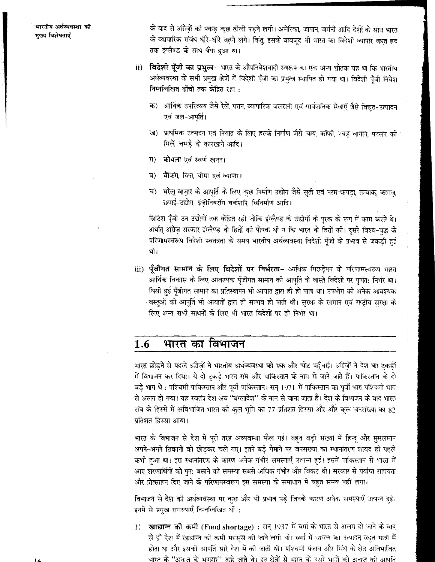के बाद से अंग्रेज़ों की पकड़ कुछ ढीली पड़ने लगी। अमेरिका, जापान, जर्मनी आदि देशों के साथ भारत के व्यापारिक संबंध धीरे-धीरे वढ़ने लगे। किंतु, इसके बावजूद भी भारत का विदेशी व्यापार बहुत हद तक इंग्लैण्ड के साथ बँधा हुआ था।

- **विदेशी पूँजी का प्रभुत्व** भारत के औपनिवेशवादी स्वरूप का एक अन्य द्यौतक यह था कि भारतीय  $\mathbf{ii}$ अर्थव्यवस्था के सभी प्रमुख क्षेत्रों में विदेशी पूँजी का प्रभुत्व स्थापित हो गया था। विदेशी पूँजी निवेश निम्नलिखित ढाँचों तक केंद्रित रहा :
	- क) आर्थिक उपरिव्यय जैसे रेलें, पत्तन, व्यापारिक जलरानी एवं सार्वजनिक सेवाएँ जैसे विद्युत-उत्पादन एवं जल-आपूर्ति।
	- ख) प्राथमिक उत्पादन एवं निर्यात के लिए हल्के निर्माण जैसे चाय, कॉफी, रबड़ बागान, पटसन की मिले चमडे के कारखाने आदि।
	- कोयला एवं स्वर्ण खनन। ग)
	- बैंकिंग, वित्त, बीमा एवं व्यापार। ঘ)
	- च) घोलू बाज़ार के आपूर्ति के लिए कुछ निर्माण उद्योग जैसे सूती एवं नरम कपड़ा, तम्बाकू कागज़, छपाई-उद्योग, इंजीनियरींग वर्कशॉप, विनिर्माण आदि।

ब्रिटिश पूँजी उन उद्योगों तक केंद्रित रही जोकि इंग्लैण्ड के उद्योगों के पूरक के रूप में काम करते थे। अर्थात् अंग्रेज़ सरकार इंग्लैण्ड के हितों की पोषक थी न कि भारत के हितों की। दूसरे विश्व-युद्ध के परिणामस्वरूप विदेशी स्वतंत्रता के समय भारतीय अर्थव्यवस्था विदेशी पूँजी के प्रभाव से जकड़ी हुई थी।

iii) **पूँजीगत सामान के लिए विदेशों पर निर्भरता**- आर्थिक पिछड़ेपन के परिणामस्वरूप भारत आर्थिक विकास के लिए आवश्यक पूँजीगत सामान की आपूर्ति के वास्ते विदेशों पर पुर्णत: निर्भर था। घिसी हुई पूँजीगत सामान का प्रतिस्थापन भी आयात द्वारा ही हो पाता था। उपभोग की अनेक आवश्यक वस्तुओं की आपूर्ति भी आयातों द्वारा ही सम्भव हो पाती थी। सुरक्षा के सामान एवं राष्ट्रीय सुरक्षा के लिए अन्य सभी साधनों के लिए भी भारत विदेशों पर ही निर्भर था।

### भारत का विभाजन 1.6

भारत छोड़ने से पहले अंग्रेज़ों ने भारतीय अर्थव्यवस्था को एक और चोट पहुँचाई। अंग्रेज़ों ने देश का टुकड़ों में विभाजन कर दिया। ये दो टुकड़े भारत संघ और पाकिस्तान के नाम से जाने जाते हैं। पाकिस्तान के दो बड़े भाग थे : पश्चिमी पाकिस्तान और पूर्वी पाकिस्तान। सन् 1971 में पाकिस्तान का पूर्वी भाग पश्चिमी भाग से अलग हो गया। यह स्वतंत्र देश अब ''बंग्लादेश'' के नाम से जाना जाता है। देश के विभाजन के बाद भारत संघ के हिस्से में अविभाजित भारत को कुल भूमि का 77 प्रतिशत हिस्सा और और कुल जनसंख्या का 82 प्रतिशत हिस्सा आया।

भारत के विभाजन से देश में पूरी तरह अव्यवस्था फैल गई। वहत बड़ी संख्या में हिन्दू और मुसलमान अपने-अपने ठिकानों को छोड़कर चले गए। इतने बड़े पैमाने पर जनसंख्या का स्थानांतरण शायद ही पहले कभी हुआ था। इस स्थानांतरण के कारण अनेक गंभीर समस्याएँ उत्पन्न हुईं। इसमें पाकिस्तान से भारत में आए शरणार्थियों को पुन: बसाने की समस्या सबसे अधिक गंभीर और विकट थी। सरकार से पर्याप्त सहायता और प्रोत्साहन दिए जाने के परिणामस्वरूप इस समस्या के समाधान में वहत समय नहीं लगा।

विभाजन से देश की अर्थव्यवस्था पर कुछ और भी प्रभाव पड़े जिनके कारण अनेक समस्याएँ उत्पन्न हुईं। इनमें से प्रमुख समस्याएँ निम्नलिखित थीं :

1) खाद्यान्न की कमी (Food shortage) : सन् 1937 में वर्मा के भारत से अलग हो जाने के बाद से ही देश में खाद्यान्न को कमी महसूस की जाने लगी थी। बर्मा में चावल का उत्पादन बहुत मात्रा में होता था और इसकी आपर्ति सारे देश में की जाती थी। पश्चिमी पंजाब और सिंध के क्षेत्र अविभाजित भारत के ''अनाज के भण्डार'' कहे जाते थे। इन क्षेत्रों से भारत के दसरे भागों को अनाज की आपति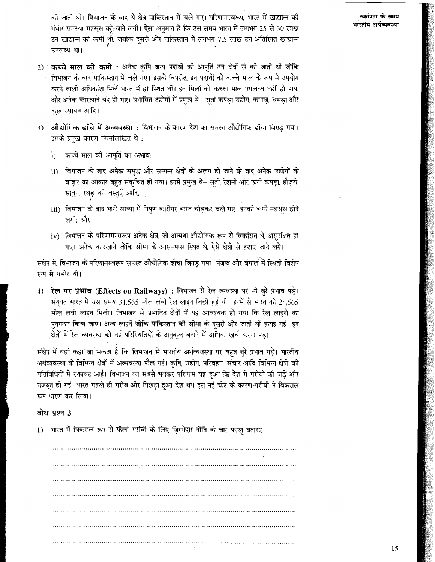को जाती थी। विभाजन के बाद ये क्षेत्र पाकिस्तान में चले गए। परिणामस्वरूप, भारत में खाद्यान्न की गंभीर समस्या महसूस को जाने लगी। ऐसा अनुमान है कि उस समय भारत में लगभग 25 से 30 लाख टन खाद्यान्न की कमी थी, जबकि दूसरी ओर पाकिस्तान में लगभग 7.5 लाख टन अतिरिक्त खाद्यान्न उपलब्ध था।

- 2) कच्चे माल की कमी : अनेक कृषि-जन्य पदार्थों की आपूर्ति उन क्षेत्रों से की जाती थी जोकि विभाजन के बाद पाकिस्तान में चले गए। इसके विपरीत, इन पदार्थों को कच्चे माल के रूप में उपयोग करने वाली अधिकांश मिलें भारत में ही स्थित थीं। इन मिलों को कच्चा माल उपलब्ध नहीं हो पाया और अनेक कारखाने बंद हो गए। प्रभावित उद्योगों में प्रमख थे– सती कपडा उद्योग, कागज, चमडा और कुछ रसायन आदि।
- <mark>औद्योगिक ढाँचे में अव्यवस्था</mark> : विभाजन के कारण देश का समस्त औद्योगिक ढाँचा बिगड गया।  $3)$ इसके प्रमुख कारण निम्नलिखित थे:
	- कच्चे माल की आपूर्ति का अभाव;  $\mathbf{i}$
	- विभाजन के बाद अनेक समृद्ध और सम्पन्न क्षेत्रों के अलग हो जाने के बाद अनेक उद्योगों के  $ii)$ बाज़ार का आकार बहुत संकुचित हो गया। इनमें प्रमुख थे– सूती, रेशमी और ऊनी कपड़ा, हौज़री, साबुन, रवड़ की वस्तुएँ आदि;
	- iii) विभाजन के बाद भारी संख्या में निपुण कारीगर भारत छोड़कर चले गए। इनकी कमी महसूस होने लगी: और
	- iv) विभाजन के परिणामस्वरूप अनेक क्षेत्र, जो अन्यथा औद्योगिक रूप से विकसित थे, असुरक्षित हो गए। अनेक कारखाने जोकि सीमा के आस-पास स्थित थे, ऐसे क्षेत्रों से हटाए जाने लगे।

संक्षेप में, विभाजन के परिणामस्वरूप समस्त औद्योगिक ढाँचा बिगड गया। पंजाव और बंगाल में स्थिती विशेष रूप से गंभीर थी।

रेल पर प्रभाव (Effects on Railways) : विभाजन से रेल-व्यवस्था पर भी बुरे प्रभाव पड़े।  $4)$ संयुक्त भारत में उस समय 31,565 मील लंबी रेल लाइन बिछी हुई थी। इनमें से भारत को 24,565 मील लंबी लाइन मिली। विभाजन से प्रभावित क्षेत्रों में यह आवश्यक हो गया कि रेल लाइनों का पनर्गठन किया जाए। अन्य लाइनें जोकि पाकिस्तान की सीमा के दसरी ओर जाती थीं हटाई गईं। इन क्षेत्रों में रेल व्यवस्था को नई परिस्थितियों के अनुकुल बनाने में अधिक खर्च करना पड़ा।

संक्षेप में यही कहा जा सकता है कि विभाजन से भारतीय अर्थव्यवस्था पर बहुत बुरे प्रभाव पड़े। भारतीय अर्थव्यवस्था के विभिन्न क्षेत्रों में अव्यवस्था फैल गई। कृषि, उद्योग, परिवहन, संचार आदि विभिन्न क्षेत्रों की गतिविधियों में रुकावट आई। विभाजन का सबसे भयंकर परिणाम यह हुआ कि देश में गरीवी की जड़ें और मज़बूत हो गईं। भारत पहले ही गरीब और पिछड़ा हुआ देश था। इस नई चोट के कारण गरीबी ने विकराल रूप धारण कर लिया।

### बोध पृष्ठन 3

भारत में विकराल रूप से फैली गरीवी के लिए ज़िम्मेदार नीति के चार पहलू बताइए।  $\mathbf{I}$ 

स्वतंत्रता के समय भारतीय अर्थव्यवस्था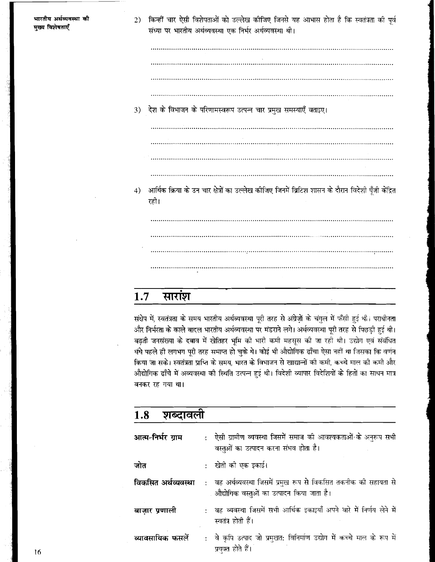भारतीय अर्थव्यवस्था की मख्य विशेषताएँ

किन्हीं चार ऐसी विशेषताओं को उल्लेख कीजिए जिनसे यह आभास होता है कि स्वतंत्रता की पूर्व  $2)$ संध्या पर भारतीय अर्थव्यवस्था एक निर्भर अर्थव्यवस्था थी।

3) देश के विभाजन के परिणामस्वरूप उत्पन्न चार प्रमुख समस्याएँ बताइए। आर्थिक क्रिया के उन चार क्षेत्रों का उल्लेख कीजिए जिनमें ब्रिटिश शासन के दौरान विदेशी पूँजी केंद्रित  $4)$ ग्हो।

### सारांश  $1.7$

संक्षेप में, स्वतंत्रता के समय भारतीय अर्थव्यवस्था पूरी तरह से अंग्रेज़ों के चंगुल में फँसी हुई थी। पराधीनता और निर्भरता के काले बादल भारतीय अर्थव्यवस्था पर मंडराने लगे। अर्थव्यवस्था पूरी तरह से पिछड़ी हुई थी। बढ़ती जनसंख्या के दबाव में खेतिहर भूमि की भारी कमी महसूस की जा रही थी। उद्योग एवं संबंधित धंधे पहले ही लगभग पूरी तरह समाप्त हो चुके थे। कोई भी औद्योगिक ढाँचा ऐसा नहीं था जिसका कि वर्णन किया जा सके। स्वतंत्रता प्राप्ति के समय, भारत के विभाजन से खाद्यान्तों की कमी, कच्चे माल की कमी और औद्योगिक ढाँचे में अव्यवस्था की स्थिति उत्पन्न हुई थी। विदेशी व्यापार विदेशियों के हितों का साधन मात्र बनकर रह गया था।

| 1.8<br>शब्दावला     |  |                                                                                                                 |  |  |
|---------------------|--|-----------------------------------------------------------------------------------------------------------------|--|--|
| आत्म-निर्भर ग्राम   |  | :   ऐसी ग्रामीण व्यवस्था जिसमें समाज की आवश्यकताओं के अनुरूप सभी<br>वस्तुओं का उत्पादन करना संभव होता है।       |  |  |
| जोत                 |  | :   खेती को एक इकाई।                                                                                            |  |  |
| विकसित अर्थव्यवस्था |  | : वह अर्थव्यवस्था जिसमें प्रमुख रूप से विकसित तकनीक की सहायता से<br>. औद्योगिक वस्तुओं का उत्पादन किया जाता है। |  |  |
| बाज़ार प्रणाली      |  | : वह व्यवस्था जिसमें सभी आर्थिक इकाइयाँ अपने वारे में निर्णय लेने में<br>स्वतंत्र होती हैं।                     |  |  |
| व्यावसायिक फसलें    |  | : वे कृपि उत्पाद जो प्रमुखत: विनिर्माण उद्योग में कच्चे माल के रूप में<br>प्रयक्त होते हैं।                     |  |  |

16